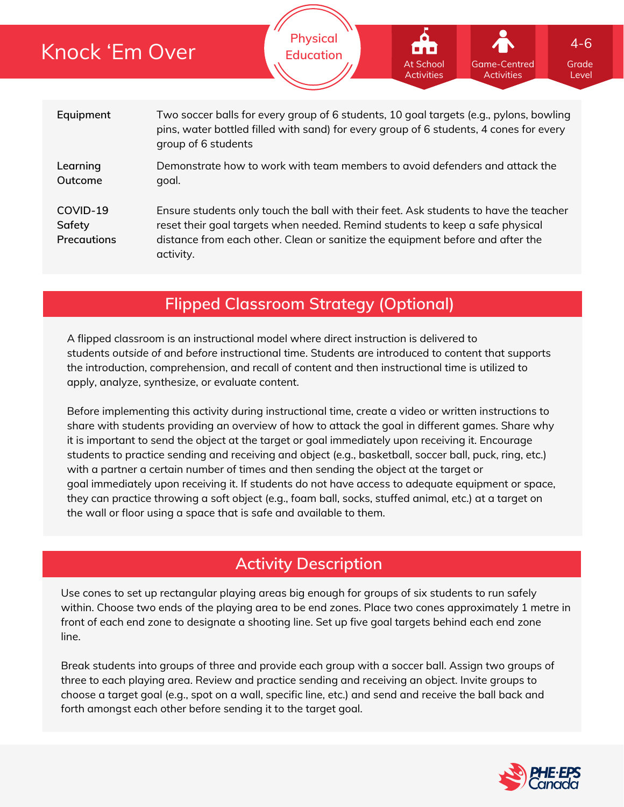# Knock 'Em Over

**Physical Education**

| Equipment                         | Two soccer balls for every group of 6 students, 10 goal targets (e.g., pylons, bowling<br>pins, water bottled filled with sand) for every group of 6 students, 4 cones for every<br>group of 6 students                                                               |
|-----------------------------------|-----------------------------------------------------------------------------------------------------------------------------------------------------------------------------------------------------------------------------------------------------------------------|
| Learning<br>Outcome               | Demonstrate how to work with team members to avoid defenders and attack the<br>goal.                                                                                                                                                                                  |
| COVID-19<br>Safety<br>Precautions | Ensure students only touch the ball with their feet. Ask students to have the teacher<br>reset their goal targets when needed. Remind students to keep a safe physical<br>distance from each other. Clean or sanitize the equipment before and after the<br>activity. |

## **Flipped Classroom Strategy (Optional)**

A flipped classroom is an instructional model where direct instruction is delivered to students *outside of* and *before* instructional time. Students are introduced to content that supports the introduction, comprehension, and recall of content and then instructional time is utilized to apply, analyze, synthesize, or evaluate content.

Before implementing this activity during instructional time, create a video or written instructions to share with students providing an overview of how to attack the goal in different games. Share why it is important to send the object at the target or goal immediately upon receiving it. Encourage students to practice sending and receiving and object (e.g., basketball, soccer ball, puck, ring, etc.) with a partner a certain number of times and then sending the object at the target or goal immediately upon receiving it. If students do not have access to adequate equipment or space, they can practice throwing a soft object (e.g., foam ball, socks, stuffed animal, etc.) at a target on the wall or floor using a space that is safe and available to them.

## **Activity Description**

Use cones to set up rectangular playing areas big enough for groups of six students to run safely within. Choose two ends of the playing area to be end zones. Place two cones approximately 1 metre in front of each end zone to designate a shooting line. Set up five goal targets behind each end zone line.

Break students into groups of three and provide each group with a soccer ball. Assign two groups of three to each playing area. Review and practice sending and receiving an object. Invite groups to choose a target goal (e.g., spot on a wall, specific line, etc.) and send and receive the ball back and forth amongst each other before sending it to the target goal.



Grade Level

Game-Centred Activities

At School Activities

4-6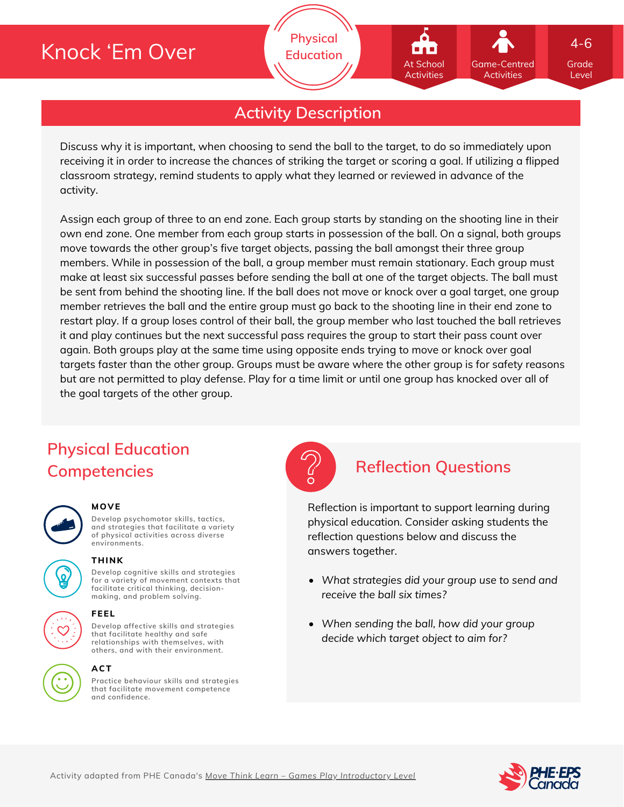# Knock 'Em Over

**Activity Description**

**Physical Education**

Discuss why it is important, when choosing to send the ball to the target, to do so immediately upon receiving it in order to increase the chances of striking the target or scoring a goal. If utilizing a flipped classroom strategy, remind students to apply what they learned or reviewed in advance of the activity.

Assign each group of three to an end zone. Each group starts by standing on the shooting line in their own end zone. One member from each group starts in possession of the ball. On a signal, both groups move towards the other group's five target objects, passing the ball amongst their three group members. While in possession of the ball, a group member must remain stationary. Each group must make at least six successful passes before sending the ball at one of the target objects. The ball must be sent from behind the shooting line. If the ball does not move or knock over a goal target, one group member retrieves the ball and the entire group must go back to the shooting line in their end zone to restart play. If a group loses control of their ball, the group member who last touched the ball retrieves it and play continues but the next successful pass requires the group to start their pass count over again. Both groups play at the same time using opposite ends trying to move or knock over goal targets faster than the other group. Groups must be aware where the other group is for safety reasons but are not permitted to play defense. Play for a time limit or until one group has knocked over all of the goal targets of the other group.

## **Physical Education Competencies Reflection Questions**

#### **MOVE**

**THINK**

**Develop psychomotor skills, tactics, and strategies that facilitate a variety of physical activities across diverse environments.**

**Develop cognitive skills and strategies for a variety of movement contexts that facilitate critical thinking, decision making, and problem solving.**



### **ACT**

**Practice behaviour skills and strategies that facilitate movement competence and confidence.**



Reflection is important to support learning during physical education. Consider asking students the reflection questions below and discuss the answers together.

- *What strategies did your group use to send and receive the ball six times?*
- *When sending the ball, how did your group decide which target object to aim for?*



Grade Level

4-6

Game-Centred Activities

At School **Activities**